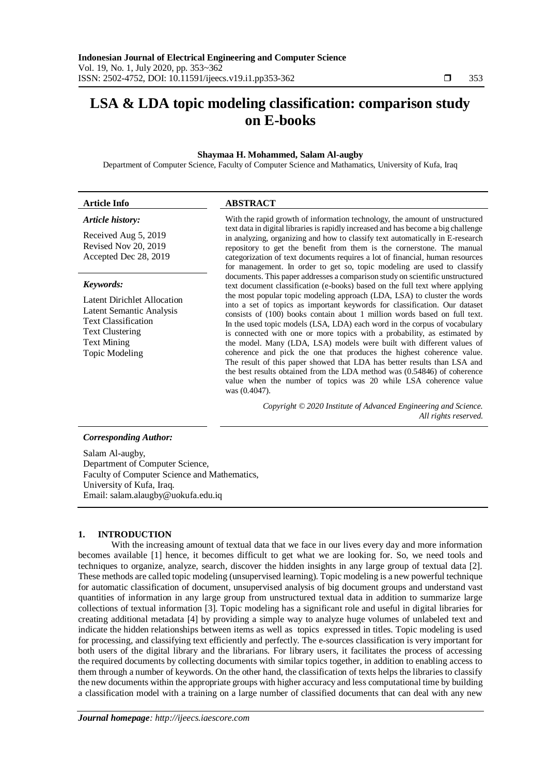# **LSA & LDA topic modeling classification: comparison study on E-books**

#### **Shaymaa H. Mohammed, Salam Al-augby**

Department of Computer Science, Faculty of Computer Science and Mathamatics, University of Kufa, Iraq

#### **Article Info ABSTRACT**

#### *Article history:*

Received Aug 5, 2019 Revised Nov 20, 2019 Accepted Dec 28, 2019

#### *Keywords:*

Latent Dirichlet Allocation Latent Semantic Analysis Text Classification Text Clustering Text Mining Topic Modeling

With the rapid growth of information technology, the amount of unstructured text data in digital libraries is rapidly increased and has become a big challenge in analyzing, organizing and how to classify text automatically in E-research repository to get the benefit from them is the cornerstone. The manual categorization of text documents requires a lot of financial, human resources for management. In order to get so, topic modeling are used to classify documents. This paper addresses a comparison study on scientific unstructured text document classification (e-books) based on the full text where applying the most popular topic modeling approach (LDA, LSA) to cluster the words into a set of topics as important keywords for classification. Our dataset consists of (100) books contain about 1 million words based on full text. In the used topic models (LSA, LDA) each word in the corpus of vocabulary is connected with one or more topics with a probability, as estimated by the model. Many (LDA, LSA) models were built with different values of coherence and pick the one that produces the highest coherence value. The result of this paper showed that LDA has better results than LSA and the best results obtained from the LDA method was (0.54846) of coherence value when the number of topics was 20 while LSA coherence value was (0.4047).

> *Copyright © 2020 Institute of Advanced Engineering and Science. All rights reserved.*

#### *Corresponding Author:*

Salam Al-augby, Department of Computer Science, Faculty of Computer Science and Mathematics, University of Kufa, Iraq. Email: salam.alaugby@uokufa.edu.iq

#### **1. INTRODUCTION**

With the increasing amount of textual data that we face in our lives every day and more information becomes available [1] hence, it becomes difficult to get what we are looking for. So, we need tools and techniques to organize, analyze, search, discover the hidden insights in any large group of textual data [2]. These methods are called topic modeling (unsupervised learning). Topic modeling is a new powerful technique for automatic classification of document, unsupervised analysis of big document groups and understand vast quantities of information in any large group from unstructured textual data in addition to summarize large collections of textual information [3]. Topic modeling has a significant role and useful in digital libraries for creating additional metadata [4] by providing a simple way to analyze huge volumes of unlabeled text and indicate the hidden relationships between items as well as topics expressed in titles. Topic modeling is used for processing, and classifying text efficiently and perfectly. The e-sources classification is very important for both users of the digital library and the librarians. For library users, it facilitates the process of accessing the required documents by collecting documents with similar topics together, in addition to enabling access to them through a number of keywords. On the other hand, the classification of texts helps the libraries to classify the new documents within the appropriate groups with higher accuracy and less computational time by building a classification model with a training on a large number of classified documents that can deal with any new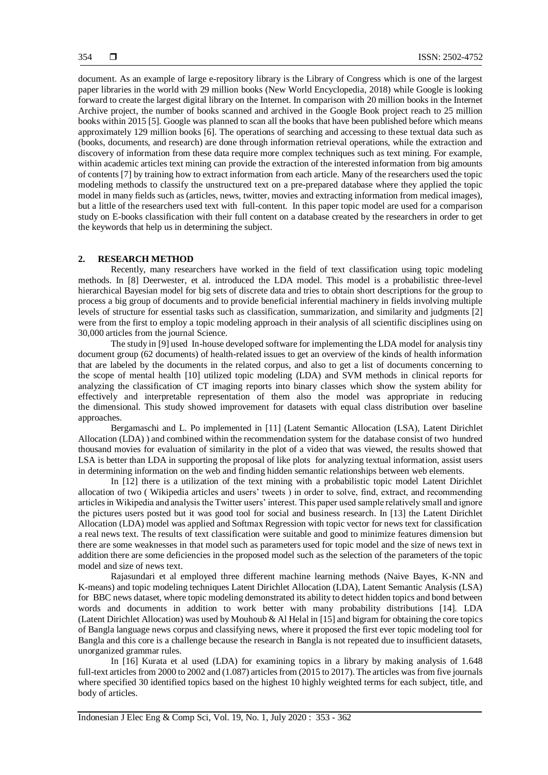document. As an example of large e-repository library is the Library of Congress which is one of the largest paper libraries in the world with 29 million books (New World Encyclopedia, 2018) while Google is looking forward to create the largest digital library on the Internet. In comparison with 20 million books in the Internet Archive project, the number of books scanned and archived in the Google Book project reach to 25 million books within 2015 [5]. Google was planned to scan all the books that have been published before which means approximately 129 million books [6]. The operations of searching and accessing to these textual data such as (books, documents, and research) are done through information retrieval operations, while the extraction and discovery of information from these data require more complex techniques such as text mining. For example, within academic articles text mining can provide the extraction of the interested information from big amounts of contents [7] by training how to extract information from each article. Many of the researchers used the topic modeling methods to classify the unstructured text on a pre-prepared database where they applied the topic model in many fields such as (articles, news, twitter, movies and extracting information from medical images), but a little of the researchers used text with full-content. In this paper topic model are used for a comparison study on E-books classification with their full content on a database created by the researchers in order to get the keywords that help us in determining the subject.

#### **2. RESEARCH METHOD**

Recently, many researchers have worked in the field of text classification using topic modeling methods. In [8] Deerwester, et al. introduced the LDA model. This model is a probabilistic three-level hierarchical Bayesian model for big sets of discrete data and tries to obtain short descriptions for the group to process a big group of documents and to provide beneficial inferential machinery in fields involving multiple levels of structure for essential tasks such as classification, summarization, and similarity and judgments [2] were from the first to employ a topic modeling approach in their analysis of all scientific disciplines using on 30,000 articles from the journal Science.

The study in [9] used In-house developed software for implementing the LDA model for analysis tiny document group (62 documents) of health-related issues to get an overview of the kinds of health information that are labeled by the documents in the related corpus, and also to get a list of documents concerning to the scope of mental health [10] utilized topic modeling (LDA) and SVM methods in clinical reports for analyzing the classification of CT imaging reports into binary classes which show the system ability for effectively and interpretable representation of them also the model was appropriate in reducing the dimensional. This study showed improvement for datasets with equal class distribution over baseline approaches.

Bergamaschi and L. Po implemented in [11] (Latent Semantic Allocation (LSA), Latent Dirichlet Allocation (LDA) ) and combined within the recommendation system for the database consist of two hundred thousand movies for evaluation of similarity in the plot of a video that was viewed, the results showed that LSA is better than LDA in supporting the proposal of like plots for analyzing textual information, assist users in determining information on the web and finding hidden semantic relationships between web elements.

In [12] there is a utilization of the text mining with a probabilistic topic model Latent Dirichlet allocation of two ( Wikipedia articles and users' tweets ) in order to solve, find, extract, and recommending articles in Wikipedia and analysis the Twitter users' interest. This paper used sample relatively small and ignore the pictures users posted but it was good tool for social and business research. In [13] the Latent Dirichlet Allocation (LDA) model was applied and Softmax Regression with topic vector for news text for classification a real news text. The results of text classification were suitable and good to minimize features dimension but there are some weaknesses in that model such as parameters used for topic model and the size of news text in addition there are some deficiencies in the proposed model such as the selection of the parameters of the topic model and size of news text.

Rajasundari et al employed three different machine learning methods (Naive Bayes, K-NN and K-means) and topic modeling techniques Latent Dirichlet Allocation (LDA), Latent Semantic Analysis (LSA) for BBC news dataset, where topic modeling demonstrated its ability to detect hidden topics and bond between words and documents in addition to work better with many probability distributions [14]. LDA (Latent Dirichlet Allocation) was used by Mouhoub & Al Helal in [15] and bigram for obtaining the core topics of Bangla language news corpus and classifying news, where it proposed the first ever topic modeling tool for Bangla and this core is a challenge because the research in Bangla is not repeated due to insufficient datasets, unorganized grammar rules.

In [16] Kurata et al used (LDA) for examining topics in a library by making analysis of 1.648 full-text articles from 2000 to 2002 and (1.087) articles from (2015 to 2017). The articles was from five journals where specified 30 identified topics based on the highest 10 highly weighted terms for each subject, title, and body of articles.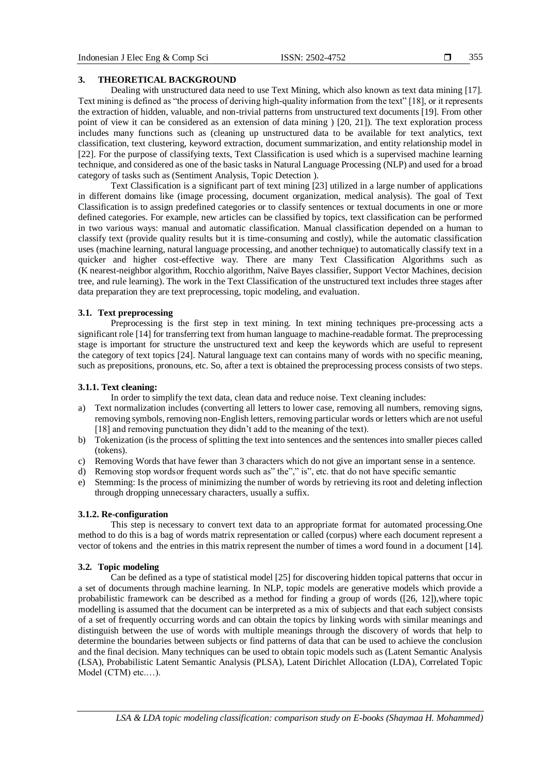#### **3. THEORETICAL BACKGROUND**

Dealing with unstructured data need to use Text Mining, which also known as text data mining [17]. Text mining is defined as "the process of deriving high-quality information from the text" [18], or it represents the extraction of hidden, valuable, and non-trivial patterns from unstructured text documents [19]. From other point of view it can be considered as an extension of data mining ) [20, 21]). The text exploration process includes many functions such as (cleaning up unstructured data to be available for text analytics, text classification, text clustering, keyword extraction, document summarization, and entity relationship model in [22]. For the purpose of classifying texts, Text Classification is used which is a supervised machine learning technique, and considered as one of the basic tasks in Natural Language Processing (NLP) and used for a broad category of tasks such as (Sentiment Analysis, Topic Detection ).

Text Classification is a significant part of text mining [23] utilized in a large number of applications in different domains like (image processing, document organization, medical analysis). The goal of Text Classification is to assign predefined categories or to classify sentences or textual documents in one or more defined categories. For example, new articles can be classified by topics, text classification can be performed in two various ways: manual and automatic classification. Manual classification depended on a human to classify text (provide quality results but it is time-consuming and costly), while the automatic classification uses (machine learning, natural language processing, and another technique) to automatically classify text in a quicker and higher cost-effective way. There are many Text Classification Algorithms such as (K nearest-neighbor algorithm, Rocchio algorithm, Naïve Bayes classifier, Support Vector Machines, decision tree, and rule learning). The work in the Text Classification of the unstructured text includes three stages after data preparation they are text preprocessing, topic modeling, and evaluation.

#### **3.1. Text preprocessing**

Preprocessing is the first step in text mining. In text mining techniques pre-processing acts a significant role [14] for transferring text from human language to machine-readable format. The preprocessing stage is important for structure the unstructured text and keep the keywords which are useful to represent the category of text topics [24]. Natural language text can contains many of words with no specific meaning, such as prepositions, pronouns, etc. So, after a text is obtained the preprocessing process consists of two steps.

#### **3.1.1. Text cleaning:**

In order to simplify the text data, clean data and reduce noise. Text cleaning includes:

- a) Text normalization includes (converting all letters to lower case, removing all numbers, removing signs, removing symbols, removing non-English letters, removing particular words or letters which are not useful [18] and removing punctuation they didn't add to the meaning of the text).
- b) Tokenization (is the process of splitting the text into sentences and the sentences into smaller pieces called (tokens).
- c) Removing Words that have fewer than 3 characters which do not give an important sense in a sentence.
- d) Removing stop words or frequent words such as" the"," is", etc. that do not have specific semantic
- e) Stemming: Is the process of minimizing the number of words by retrieving its root and deleting inflection through dropping unnecessary characters, usually a suffix.

#### **3.1.2. Re-configuration**

This step is necessary to convert text data to an appropriate format for automated processing.One method to do this is a bag of words matrix representation or called (corpus) where each document represent a vector of tokens and the entries in this matrix represent the number of times a word found in a document [14].

#### **3.2. Topic modeling**

Can be defined as a type of statistical model [25] for discovering hidden topical patterns that occur in a set of documents through machine learning. In NLP, topic models are generative models which provide a probabilistic framework can be described as a method for finding a group of words ([26, 12]),where topic modelling is assumed that the document can be interpreted as a mix of subjects and that each subject consists of a set of frequently occurring words and can obtain the topics by linking words with similar meanings and distinguish between the use of words with multiple meanings through the discovery of words that help to determine the boundaries between subjects or find patterns of data that can be used to achieve the conclusion and the final decision. Many techniques can be used to obtain topic models such as (Latent Semantic Analysis (LSA), Probabilistic Latent Semantic Analysis (PLSA), Latent Dirichlet Allocation (LDA), Correlated Topic Model (CTM) etc.…).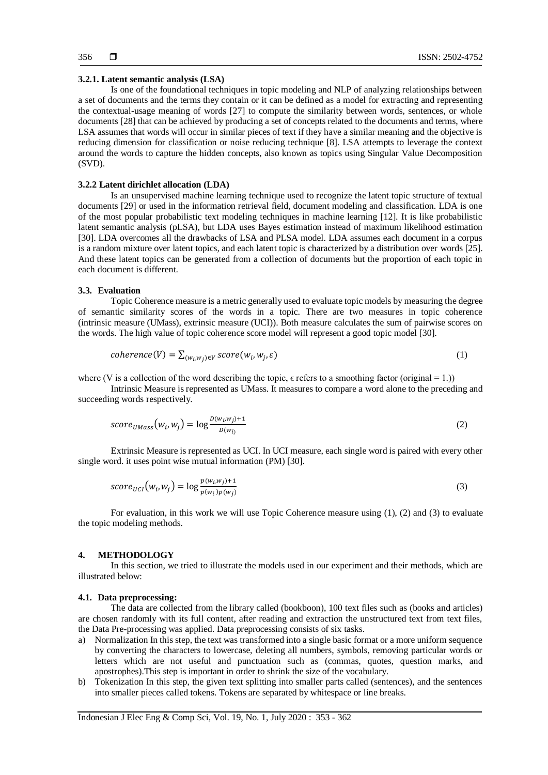#### **3.2.1. Latent semantic analysis (LSA)**

Is one of the foundational techniques in topic modeling and NLP of analyzing relationships between a set of documents and the terms they contain or it can be defined as a model for extracting and representing the contextual-usage meaning of words [27] to compute the similarity between words, sentences, or whole documents [28] that can be achieved by producing a set of concepts related to the documents and terms, where LSA assumes that words will occur in similar pieces of text if they have a similar meaning and the objective is reducing dimension for classification or noise reducing technique [8]. LSA attempts to leverage the context around the words to capture the hidden concepts, also known as topics using Singular Value Decomposition (SVD).

#### **3.2.2 Latent dirichlet allocation (LDA)**

Is an unsupervised machine learning technique used to recognize the latent topic structure of textual documents [29] or used in the information retrieval field, document modeling and classification. LDA is one of the most popular probabilistic text modeling techniques in machine learning [12]. It is like probabilistic latent semantic analysis (pLSA), but LDA uses Bayes estimation instead of maximum likelihood estimation [30]. LDA overcomes all the drawbacks of LSA and PLSA model. LDA assumes each document in a corpus is a random mixture over latent topics, and each latent topic is characterized by a distribution over words [25]. And these latent topics can be generated from a collection of documents but the proportion of each topic in each document is different.

#### **3.3. Evaluation**

Topic Coherence measure is a metric generally used to evaluate topic models by measuring the degree of semantic similarity scores of the words in a topic. There are two measures in topic coherence (intrinsic measure (UMass), extrinsic measure (UCI)). Both measure calculates the sum of pairwise scores on the words. The high value of topic coherence score model will represent a good topic model [30].

$$
coherence(V) = \sum_{(w_i, w_j) \in V} score(w_i, w_j, \varepsilon)
$$
\n<sup>(1)</sup>

where (V is a collection of the word describing the topic,  $\epsilon$  refers to a smoothing factor (original = 1.))

Intrinsic Measure is represented as UMass. It measures to compare a word alone to the preceding and succeeding words respectively.

$$
score_{UMass}(w_i, w_j) = \log \frac{D(w_i, w_j) + 1}{D(w_i)}
$$
\n(2)

Extrinsic Measure is represented as UCI. In UCI measure, each single word is paired with every other single word. it uses point wise mutual information (PM) [30].

$$
score_{UCI}(w_i, w_j) = \log \frac{p(w_i w_j) + 1}{p(w_i) p(w_j)}
$$
\n
$$
(3)
$$

For evaluation, in this work we will use Topic Coherence measure using (1), (2) and (3) to evaluate the topic modeling methods.

#### **4. METHODOLOGY**

In this section, we tried to illustrate the models used in our experiment and their methods, which are illustrated below:

#### **4.1. Data preprocessing:**

The data are collected from the library called (bookboon), 100 text files such as (books and articles) are chosen randomly with its full content, after reading and extraction the unstructured text from text files, the Data Pre-processing was applied. Data preprocessing consists of six tasks.

- a) Normalization In this step, the text was transformed into a single basic format or a more uniform sequence by converting the characters to lowercase, deleting all numbers, symbols, removing particular words or letters which are not useful and punctuation such as (commas, quotes, question marks, and apostrophes).This step is important in order to shrink the size of the vocabulary.
- b) Tokenization In this step, the given text splitting into smaller parts called (sentences), and the sentences into smaller pieces called tokens. Tokens are separated by whitespace or line breaks.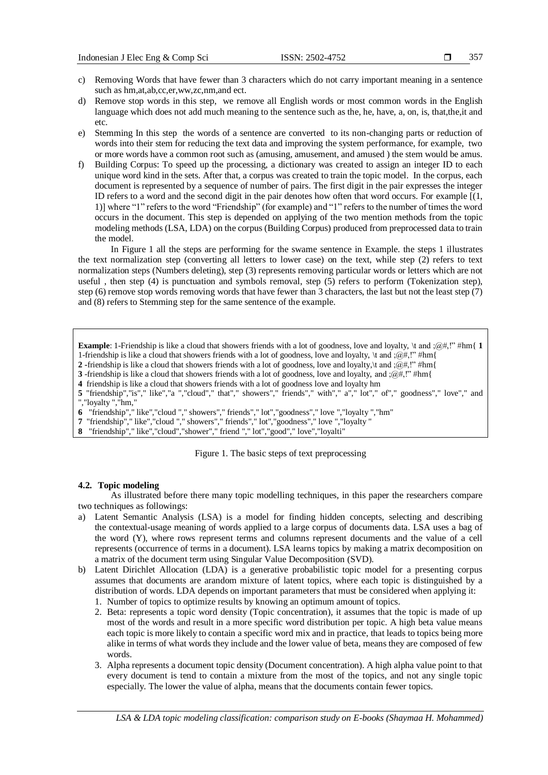- c) Removing Words that have fewer than 3 characters which do not carry important meaning in a sentence such as hm,at,ab,cc,er,ww,zc,nm,and ect.
- d) Remove stop words in this step, we remove all English words or most common words in the English language which does not add much meaning to the sentence such as the, he, have, a, on, is, that,the, it and etc.
- e) Stemming In this step the words of a sentence are converted to its non-changing parts or reduction of words into their stem for reducing the text data and improving the system performance, for example, two or more words have a common root such as (amusing, amusement, and amused ) the stem would be amus.
- f) Building Corpus: To speed up the processing, a dictionary was created to assign an integer ID to each unique word kind in the sets. After that, a corpus was created to train the topic model. In the corpus, each document is represented by a sequence of number of pairs. The first digit in the pair expresses the integer ID refers to a word and the second digit in the pair denotes how often that word occurs. For example [(1, 1)] where "1" refers to the word "Friendship" (for example) and "1" refers to the number of times the word occurs in the document. This step is depended on applying of the two mention methods from the topic modeling methods (LSA, LDA) on the corpus (Building Corpus) produced from preprocessed data to train the model.

In Figure 1 all the steps are performing for the swame sentence in Example. the steps 1 illustrates the text normalization step (converting all letters to lower case) on the text, while step (2) refers to text normalization steps (Numbers deleting), step (3) represents removing particular words or letters which are not useful , then step (4) is punctuation and symbols removal, step (5) refers to perform (Tokenization step), step (6) remove stop words removing words that have fewer than 3 characters, the last but not the least step (7) and (8) refers to Stemming step for the same sentence of the example.

**Example**: 1-Friendship is like a cloud that showers friends with a lot of goodness, love and loyalty, \t and ;@#,!" #hm{ **1** 1-friendship is like a cloud that showers friends with a lot of goodness, love and loyalty,  $\tau$  and  $\pi$ ;  $\ell$  #hm{

- **2 -**friendship is like a cloud that showers friends with a lot of goodness, love and loyalty,\t and ;@#,!" #hm{
- **3** -friendship is like a cloud that showers friends with a lot of goodness, love and loyalty, and ;@#,!" #hm{
- **4** friendship is like a cloud that showers friends with a lot of goodness love and loyalty hm

**5** "friendship","is"," like","a ","cloud"," that"," showers"," friends"," with"," a"," lot"," of"," goodness"," love"," and ","loyalty ","hm,"

**6** "friendship"," like","cloud "," showers"," friends"," lot","goodness"," love ","loyalty ","hm"

**7** "friendship"," like","cloud "," showers", "friends"," lot","goodness"," love ","loyalty "

**8** "friendship"," like","cloud","shower"," friend "," lot","good"," love","loyalti"

Figure 1. The basic steps of text preprocessing

#### **4.2. Topic modeling**

As illustrated before there many topic modelling techniques, in this paper the researchers compare two techniques as followings:

- a) Latent Semantic Analysis (LSA) is a model for finding hidden concepts, selecting and describing the contextual-usage meaning of words applied to a large corpus of documents data. LSA uses a bag of the word (Y), where rows represent terms and columns represent documents and the value of a cell represents (occurrence of terms in a document). LSA learns topics by making a matrix decomposition on a matrix of the document term using Singular Value Decomposition (SVD).
- b) Latent Dirichlet Allocation (LDA) is a generative probabilistic topic model for a presenting corpus assumes that documents are arandom mixture of latent topics, where each topic is distinguished by a distribution of words. LDA depends on important parameters that must be considered when applying it:
	- 1. Number of topics to optimize results by knowing an optimum amount of topics.
	- 2. Beta: represents a topic word density (Topic concentration), it assumes that the topic is made of up most of the words and result in a more specific word distribution per topic. A high beta value means each topic is more likely to contain a specific word mix and in practice, that leads to topics being more alike in terms of what words they include and the lower value of beta, means they are composed of few words.
	- 3. Alpha represents a document topic density (Document concentration). A high alpha value point to that every document is tend to contain a mixture from the most of the topics, and not any single topic especially. The lower the value of alpha, means that the documents contain fewer topics.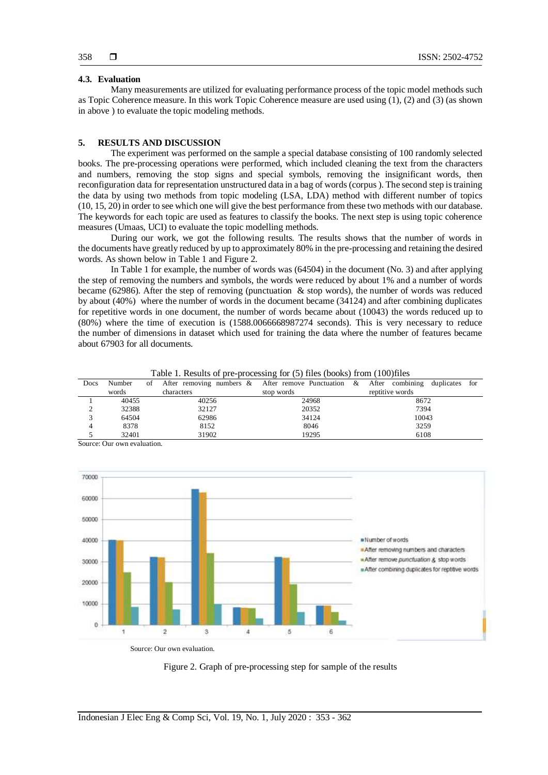#### **4.3. Evaluation**

Many measurements are utilized for evaluating performance process of the topic model methods such as Topic Coherence measure. In this work Topic Coherence measure are used using (1), (2) and (3) (as shown in above ) to evaluate the topic modeling methods.

### **5. RESULTS AND DISCUSSION**

The experiment was performed on the sample a special database consisting of 100 randomly selected books. The pre-processing operations were performed, which included cleaning the text from the characters and numbers, removing the stop signs and special symbols, removing the insignificant words, then reconfiguration data for representation unstructured data in a bag of words (corpus ). The second step is training the data by using two methods from topic modeling (LSA, LDA) method with different number of topics (10, 15, 20) in order to see which one will give the best performance from these two methods with our database. The keywords for each topic are used as features to classify the books. The next step is using topic coherence measures (Umaas, UCI) to evaluate the topic modelling methods.

During our work, we got the following results. The results shows that the number of words in the documents have greatly reduced by up to approximately 80% in the pre-processing and retaining the desired words. As shown below in Table 1 and Figure 2.

In Table 1 for example, the number of words was (64504) in the document (No. 3) and after applying the step of removing the numbers and symbols, the words were reduced by about 1% and a number of words became (62986). After the step of removing (punctuation & stop words), the number of words was reduced by about (40%) where the number of words in the document became (34124) and after combining duplicates for repetitive words in one document, the number of words became about (10043) the words reduced up to (80%) where the time of execution is (1588.0066668987274 seconds). This is very necessary to reduce the number of dimensions in dataset which used for training the data where the number of features became about 67903 for all documents.

| Docs | Number | οf | After removing numbers & After remove Punctuation & After combining duplicates |            |  |  |                 |  | for |  |  |
|------|--------|----|--------------------------------------------------------------------------------|------------|--|--|-----------------|--|-----|--|--|
|      | words  |    | characters                                                                     | stop words |  |  | reptitive words |  |     |  |  |
|      | 40455  |    | 40256                                                                          | 24968      |  |  | 8672            |  |     |  |  |
|      | 32388  |    | 32127                                                                          | 20352      |  |  | 7394            |  |     |  |  |
|      | 64504  |    | 62986                                                                          | 34124      |  |  | 10043           |  |     |  |  |
| 4    | 8378   |    | 8152                                                                           | 8046       |  |  | 3259            |  |     |  |  |
|      | 32401  |    | 31902                                                                          | 19295      |  |  | 6108            |  |     |  |  |

Table 1. Results of pre-processing for (5) files (books) from (100)files

Source: Our own evaluation.



Source: Our own evaluation.

Figure 2. Graph of pre-processing step for sample of the results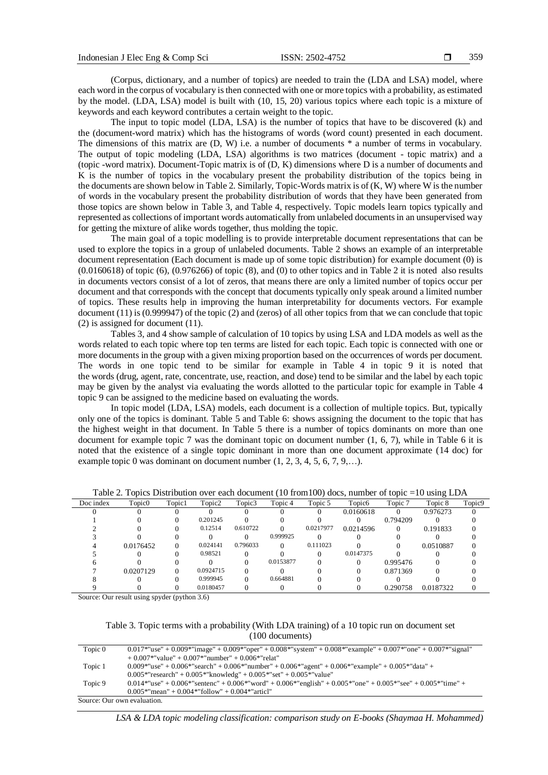(Corpus, dictionary, and a number of topics) are needed to train the (LDA and LSA) model, where each word in the corpus of vocabulary is then connected with one or more topics with a probability, as estimated by the model. (LDA, LSA) model is built with (10, 15, 20) various topics where each topic is a mixture of keywords and each keyword contributes a certain weight to the topic.

The input to topic model (LDA, LSA) is the number of topics that have to be discovered (k) and the (document-word matrix) which has the histograms of words (word count) presented in each document. The dimensions of this matrix are (D, W) i.e. a number of documents \* a number of terms in vocabulary. The output of topic modeling (LDA, LSA) algorithms is two matrices (document - topic matrix) and a (topic -word matrix). Document-Topic matrix is of (D, K) dimensions where D is a number of documents and K is the number of topics in the vocabulary present the probability distribution of the topics being in the documents are shown below in Table 2. Similarly, Topic-Words matrix is of (K, W) where W is the number of words in the vocabulary present the probability distribution of words that they have been generated from those topics are shown below in Table 3, and Table 4, respectively. Topic models learn topics typically and represented as collections of important words automatically from unlabeled documents in an unsupervised way for getting the mixture of alike words together, thus molding the topic.

The main goal of a topic modelling is to provide interpretable document representations that can be used to explore the topics in a group of unlabeled documents. Table 2 shows an example of an interpretable document representation (Each document is made up of some topic distribution) for example document (0) is  $(0.0160618)$  of topic  $(6)$ ,  $(0.976266)$  of topic  $(8)$ , and  $(0)$  to other topics and in Table 2 it is noted also results in documents vectors consist of a lot of zeros, that means there are only a limited number of topics occur per document and that corresponds with the concept that documents typically only speak around a limited number of topics. These results help in improving the human interpretability for documents vectors. For example document (11) is (0.999947) of the topic (2) and (zeros) of all other topics from that we can conclude that topic (2) is assigned for document (11).

Tables 3, and 4 show sample of calculation of 10 topics by using LSA and LDA models as well as the words related to each topic where top ten terms are listed for each topic. Each topic is connected with one or more documents in the group with a given mixing proportion based on the occurrences of words per document. The words in one topic tend to be similar for example in Table 4 in topic 9 it is noted that the words (drug, agent, rate, concentrate, use, reaction, and dose) tend to be similar and the label by each topic may be given by the analyst via evaluating the words allotted to the particular topic for example in Table 4 topic 9 can be assigned to the medicine based on evaluating the words.

In topic model (LDA, LSA) models, each document is a collection of multiple topics. But, typically only one of the topics is dominant. Table 5 and Table 6: shows assigning the document to the topic that has the highest weight in that document. In Table 5 there is a number of topics dominants on more than one document for example topic 7 was the dominant topic on document number (1, 6, 7), while in Table 6 it is noted that the existence of a single topic dominant in more than one document approximate (14 doc) for example topic 0 was dominant on document number  $(1, 2, 3, 4, 5, 6, 7, 9,...)$ .

| Doc index | Topic <sub>0</sub> | Topic1 | Topic2    | Topic3   | Topic 4   | Topic 5   | Topic <sub>6</sub> | Topic 7  | Topic 8   | Topic9 |
|-----------|--------------------|--------|-----------|----------|-----------|-----------|--------------------|----------|-----------|--------|
|           |                    |        |           |          |           |           | 0.0160618          |          | 0.976273  |        |
|           |                    |        | 0.201245  |          |           |           |                    | 0.794209 |           |        |
|           |                    |        | 0.12514   | 0.610722 |           | 0.0217977 | 0.0214596          |          | 0.191833  |        |
|           |                    |        |           |          | 0.999925  |           |                    |          |           |        |
|           | 0.0176452          |        | 0.024141  | 0.796033 |           | 0.111023  |                    |          | 0.0510887 |        |
|           |                    |        | 0.98521   |          |           |           | 0.0147375          |          |           |        |
|           |                    |        |           |          | 0.0153877 |           |                    | 0.995476 |           |        |
|           | 0.0207129          |        | 0.0924715 |          |           |           |                    | 0.871369 |           |        |
|           |                    |        | 0.999945  |          | 0.664881  |           |                    |          |           |        |
|           |                    |        | 0.0180457 |          |           |           |                    | 0.290758 | 0.0187322 |        |

Table 2. Topics Distribution over each document (10 from100) docs, number of topic =10 using LDA

Source: Our result using spyder (python 3.6)

Table 3. Topic terms with a probability (With LDA training) of a 10 topic run on document set (100 documents)

| Topic 0                     | $0.017$ *"use" + $0.009$ *"image" + $0.009$ *"oper" + $0.008$ *"system" + $0.008$ *"example" + $0.007$ *"one" + $0.007$ *"signal" |
|-----------------------------|-----------------------------------------------------------------------------------------------------------------------------------|
|                             | $+0.007$ *"value" + 0.007*"number" + 0.006*"relat"                                                                                |
| Topic 1                     | $0.009*$ "use" + $0.006*$ "search" + $0.006*$ "number" + $0.006*$ "agent" + $0.006*$ "example" + $0.005*$ "data" +                |
|                             | $0.005*$ "research" + $0.005*$ "knowledg" + $0.005*$ "set" + $0.005*$ "value"                                                     |
| Topic 9                     | $0.014*"$ use" + $0.006*"$ sentenc" + $0.006*"$ word" + $0.006*"$ english" + $0.005*"$ one" + $0.005*"$ see" + $0.005*"$ time" +  |
|                             | $0.005*$ "mean" + $0.004*$ "follow" + $0.004*$ "articl"                                                                           |
| Source: Our own evaluation. |                                                                                                                                   |

*LSA & LDA topic modeling classification: comparison study on E-books (Shaymaa H. Mohammed)*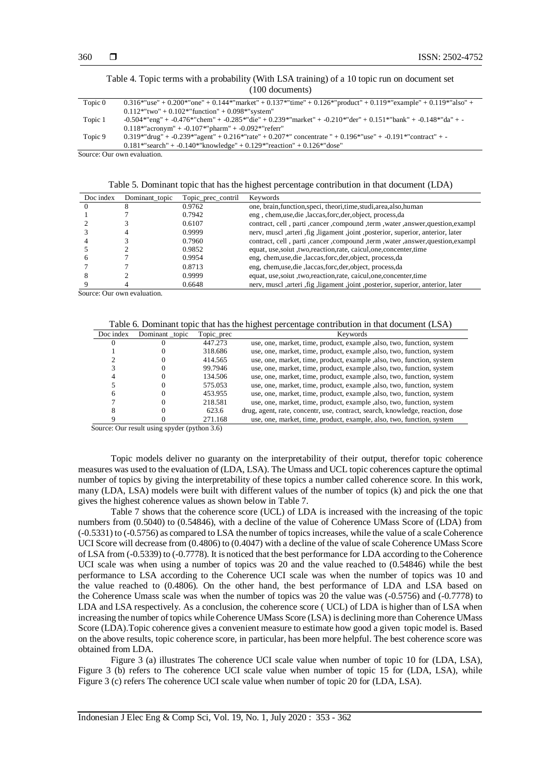#### Table 4. Topic terms with a probability (With LSA training) of a 10 topic run on document set (100 documents)

| Topic 0 | $0.316*$ "use" + $0.200*$ "one" + $0.144*$ "market" + $0.137*$ "time" + $0.126*$ "product" + $0.119*$ "example" + $0.119*$ "also" + |
|---------|-------------------------------------------------------------------------------------------------------------------------------------|
|         | $0.112$ *"two" + $0.102$ *"function" + $0.098$ *"system"                                                                            |
| Topic 1 | $-0.504*$ "eng" + $-0.476*$ "chem" + $-0.285*$ "die" + $0.239*$ "market" + $-0.210*$ "der" + $0.151*$ "bank" + $-0.148*$ "da" + $-$ |
|         | $0.118*$ "acronym" + -0.107*"pharm" + -0.092*"referr"                                                                               |
| Topic 9 | $0.319$ *"drug" + -0.239*"agent" + 0.216*"rate" + 0.207*" concentrate " + 0.196*"use" + -0.191*"contract" + -                       |
|         | $0.181^{*}$ "search" + -0.140*"knowledge" + 0.129*"reaction" + 0.126*"dose"                                                         |
|         | Source: Our own evaluation.                                                                                                         |

Table 5. Dominant topic that has the highest percentage contribution in that document (LDA)

| Doc index | Dominant topic | Topic_prec_contril | <b>Keywords</b>                                                                      |
|-----------|----------------|--------------------|--------------------------------------------------------------------------------------|
|           |                | 0.9762             | one, brain, function, speci, theori, time, studi, area, also, human                  |
|           |                | 0.7942             | eng, chem, use, die, laccas, forc, der, object, process, da                          |
|           |                | 0.6107             | contract, cell, parti, cancer, compound, term, water, answer, question, exampl       |
|           | 4              | 0.9999             | nerv, muscl ,arteri ,fig ,ligament ,joint ,posterior, superior, anterior, later      |
|           |                | 0.7960             | contract, cell, parti, cancer, compound, term, water, answer, question, exampl       |
|           |                | 0.9852             | equat, use, soiut, two, reaction, rate, caicul, one, concenter, time                 |
|           |                | 0.9954             | eng, chem, use, die , laccas, forc, der, object, process, da                         |
|           |                | 0.8713             | eng, chem, use, die , laccas, forc, der, object, process, da                         |
|           |                | 0.9999             | equat, use, soiut , two, reaction, rate, caicul, one, concenter, time                |
|           |                | 0.6648             | nerv, muscl , arteri , fig , ligament , joint , posterior, superior, anterior, later |

Source: Our own evaluation.

|  | Table 6. Dominant topic that has the highest percentage contribution in that document (LSA) |  |
|--|---------------------------------------------------------------------------------------------|--|
|  |                                                                                             |  |

| Doc index | Dominant _topic | Topic_prec | Keywords                                                                      |
|-----------|-----------------|------------|-------------------------------------------------------------------------------|
|           |                 | 447.273    | use, one, market, time, product, example, also, two, function, system         |
|           |                 | 318.686    | use, one, market, time, product, example , also, two, function, system        |
|           |                 | 414.565    | use, one, market, time, product, example, also, two, function, system         |
|           |                 | 99.7946    | use, one, market, time, product, example, also, two, function, system         |
|           |                 | 134.506    | use, one, market, time, product, example, also, two, function, system         |
|           |                 | 575.053    | use, one, market, time, product, example, also, two, function, system         |
|           |                 | 453.955    | use, one, market, time, product, example , also, two, function, system        |
|           |                 | 218.581    | use, one, market, time, product, example, also, two, function, system         |
|           |                 | 623.6      | drug, agent, rate, concentr, use, contract, search, knowledge, reaction, dose |
|           |                 | 271.168    | use, one, market, time, product, example, also, two, function, system         |

Source: Our result using spyder (python 3.6)

Topic models deliver no guaranty on the interpretability of their output, therefor topic coherence measures was used to the evaluation of (LDA, LSA). The Umass and UCL topic coherences capture the optimal number of topics by giving the interpretability of these topics a number called coherence score. In this work, many (LDA, LSA) models were built with different values of the number of topics (k) and pick the one that gives the highest coherence values as shown below in Table 7.

Table 7 shows that the coherence score (UCL) of LDA is increased with the increasing of the topic numbers from (0.5040) to (0.54846), with a decline of the value of Coherence UMass Score of (LDA) from (-0.5331) to (-0.5756) as compared to LSA the number of topics increases, while the value of a scale Coherence UCI Score will decrease from (0.4806) to (0.4047) with a decline of the value of scale Coherence UMass Score of LSA from (-0.5339) to (-0.7778). It is noticed that the best performance for LDA according to the Coherence UCI scale was when using a number of topics was 20 and the value reached to (0.54846) while the best performance to LSA according to the Coherence UCI scale was when the number of topics was 10 and the value reached to (0.4806). On the other hand, the best performance of LDA and LSA based on the Coherence Umass scale was when the number of topics was 20 the value was (-0.5756) and (-0.7778) to LDA and LSA respectively. As a conclusion, the coherence score ( UCL) of LDA is higher than of LSA when increasing the number of topics while Coherence UMass Score (LSA) is declining more than Coherence UMass Score (LDA).Topic coherence gives a convenient measure to estimate how good a given topic model is. Based on the above results, topic coherence score, in particular, has been more helpful. The best coherence score was obtained from LDA.

Figure 3 (a) illustrates The coherence UCI scale value when number of topic 10 for (LDA, LSA), Figure 3 (b) refers to The coherence UCI scale value when number of topic 15 for (LDA, LSA), while Figure 3 (c) refers The coherence UCI scale value when number of topic 20 for (LDA, LSA).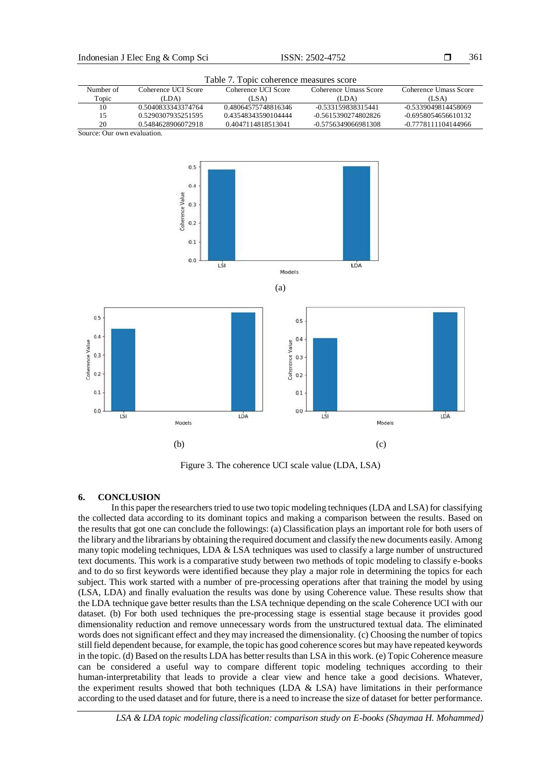Table 7. Topic coherence measures score

| Number of                   | Coherence UCI Score | Coherence UCI Score | Coherence Umass Score | Coherence Umass Score |  |  |  |
|-----------------------------|---------------------|---------------------|-----------------------|-----------------------|--|--|--|
| Topic                       | (LDA)               | (LSA)               | (LDA)                 | (LSA)                 |  |  |  |
| 10                          | 0.5040833343374764  | 0.48064575748816346 | -0.533159838315441    | -0.5339049814458069   |  |  |  |
| 15                          | 0.5290307935251595  | 0.43548343590104444 | -0.5615390274802826   | $-0.6958054656610132$ |  |  |  |
| 20                          | 0.5484628906072918  | 0.4047114818513041  | -0.5756349066981308   | -0.7778111104144966   |  |  |  |
| Source: Our own evaluation. |                     |                     |                       |                       |  |  |  |

Source: Our own evaluation.



Figure 3. The coherence UCI scale value (LDA, LSA)

## **6. CONCLUSION**

In this paper the researchers tried to use two topic modeling techniques (LDA and LSA) for classifying the collected data according to its dominant topics and making a comparison between the results. Based on the results that got one can conclude the followings: (a) Classification plays an important role for both users of the library and the librarians by obtaining the required document and classify the new documents easily. Among many topic modeling techniques, LDA & LSA techniques was used to classify a large number of unstructured text documents. This work is a comparative study between two methods of topic modeling to classify e-books and to do so first keywords were identified because they play a major role in determining the topics for each subject. This work started with a number of pre-processing operations after that training the model by using (LSA, LDA) and finally evaluation the results was done by using Coherence value. These results show that the LDA technique gave better results than the LSA technique depending on the scale Coherence UCI with our dataset. (b) For both used techniques the pre-processing stage is essential stage because it provides good dimensionality reduction and remove unnecessary words from the unstructured textual data. The eliminated words does not significant effect and they may increased the dimensionality. (c) Choosing the number of topics still field dependent because, for example, the topic has good coherence scores but may have repeated keywords in the topic. (d) Based on the results LDA has better results than LSA in this work. (e) Topic Coherence measure can be considered a useful way to compare different topic modeling techniques according to their human-interpretability that leads to provide a clear view and hence take a good decisions. Whatever, the experiment results showed that both techniques (LDA  $\&$  LSA) have limitations in their performance according to the used dataset and for future, there is a need to increase the size of dataset for better performance.

*LSA & LDA topic modeling classification: comparison study on E-books (Shaymaa H. Mohammed)*

361